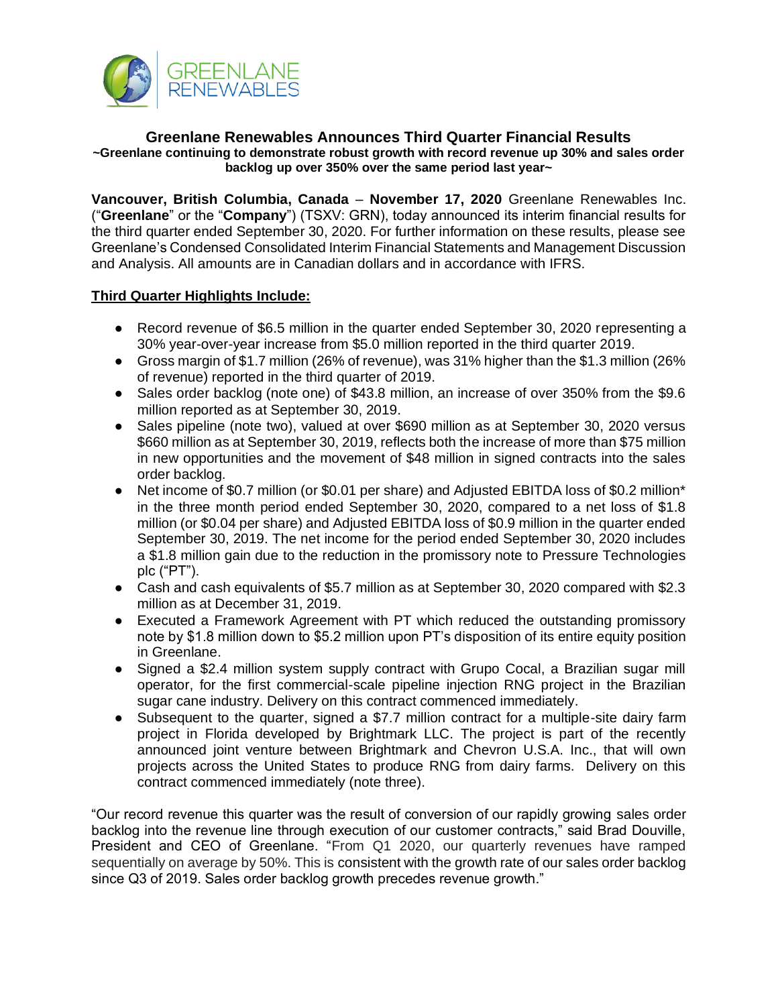

#### **Greenlane Renewables Announces Third Quarter Financial Results ~Greenlane continuing to demonstrate robust growth with record revenue up 30% and sales order backlog up over 350% over the same period last year~**

**Vancouver, British Columbia, Canada** – **November 17, 2020** Greenlane Renewables Inc. ("**Greenlane**" or the "**Company**") (TSXV: GRN), today announced its interim financial results for the third quarter ended September 30, 2020. For further information on these results, please see Greenlane's Condensed Consolidated Interim Financial Statements and Management Discussion and Analysis. All amounts are in Canadian dollars and in accordance with IFRS.

# **Third Quarter Highlights Include:**

- Record revenue of \$6.5 million in the quarter ended September 30, 2020 representing a 30% year-over-year increase from \$5.0 million reported in the third quarter 2019.
- Gross margin of \$1.7 million (26% of revenue), was 31% higher than the \$1.3 million (26% of revenue) reported in the third quarter of 2019.
- Sales order backlog (note one) of \$43.8 million, an increase of over 350% from the \$9.6 million reported as at September 30, 2019.
- Sales pipeline (note two), valued at over \$690 million as at September 30, 2020 versus \$660 million as at September 30, 2019, reflects both the increase of more than \$75 million in new opportunities and the movement of \$48 million in signed contracts into the sales order backlog.
- Net income of \$0.7 million (or \$0.01 per share) and Adjusted EBITDA loss of \$0.2 million\* in the three month period ended September 30, 2020, compared to a net loss of \$1.8 million (or \$0.04 per share) and Adjusted EBITDA loss of \$0.9 million in the quarter ended September 30, 2019. The net income for the period ended September 30, 2020 includes a \$1.8 million gain due to the reduction in the promissory note to Pressure Technologies plc ("PT").
- Cash and cash equivalents of \$5.7 million as at September 30, 2020 compared with \$2.3 million as at December 31, 2019.
- Executed a Framework Agreement with PT which reduced the outstanding promissory note by \$1.8 million down to \$5.2 million upon PT's disposition of its entire equity position in Greenlane.
- Signed a \$2.4 million system supply contract with Grupo Cocal, a Brazilian sugar mill operator, for the first commercial-scale pipeline injection RNG project in the Brazilian sugar cane industry. Delivery on this contract commenced immediately.
- Subsequent to the quarter, signed a \$7.7 million contract for a multiple-site dairy farm project in Florida developed by Brightmark LLC. The project is part of the recently announced joint venture between Brightmark and Chevron U.S.A. Inc., that will own projects across the United States to produce RNG from dairy farms. Delivery on this contract commenced immediately (note three).

"Our record revenue this quarter was the result of conversion of our rapidly growing sales order backlog into the revenue line through execution of our customer contracts," said Brad Douville, President and CEO of Greenlane. "From Q1 2020, our quarterly revenues have ramped sequentially on average by 50%. This is consistent with the growth rate of our sales order backlog since Q3 of 2019. Sales order backlog growth precedes revenue growth."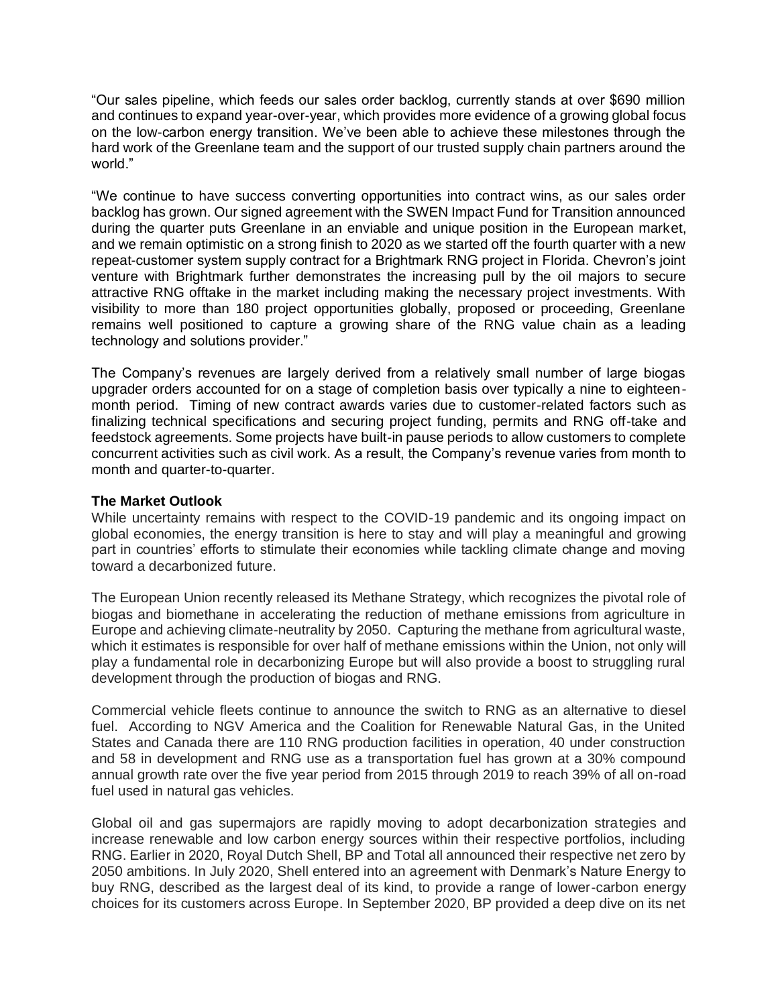"Our sales pipeline, which feeds our sales order backlog, currently stands at over \$690 million and continues to expand year-over-year, which provides more evidence of a growing global focus on the low-carbon energy transition. We've been able to achieve these milestones through the hard work of the Greenlane team and the support of our trusted supply chain partners around the world."

"We continue to have success converting opportunities into contract wins, as our sales order backlog has grown. Our signed agreement with the SWEN Impact Fund for Transition announced during the quarter puts Greenlane in an enviable and unique position in the European market, and we remain optimistic on a strong finish to 2020 as we started off the fourth quarter with a new repeat-customer system supply contract for a Brightmark RNG project in Florida. Chevron's joint venture with Brightmark further demonstrates the increasing pull by the oil majors to secure attractive RNG offtake in the market including making the necessary project investments. With visibility to more than 180 project opportunities globally, proposed or proceeding, Greenlane remains well positioned to capture a growing share of the RNG value chain as a leading technology and solutions provider."

The Company's revenues are largely derived from a relatively small number of large biogas upgrader orders accounted for on a stage of completion basis over typically a nine to eighteenmonth period. Timing of new contract awards varies due to customer-related factors such as finalizing technical specifications and securing project funding, permits and RNG off-take and feedstock agreements. Some projects have built-in pause periods to allow customers to complete concurrent activities such as civil work. As a result, the Company's revenue varies from month to month and quarter-to-quarter.

### **The Market Outlook**

While uncertainty remains with respect to the COVID-19 pandemic and its ongoing impact on global economies, the energy transition is here to stay and will play a meaningful and growing part in countries' efforts to stimulate their economies while tackling climate change and moving toward a decarbonized future.

The European Union recently released its Methane Strategy, which recognizes the pivotal role of biogas and biomethane in accelerating the reduction of methane emissions from agriculture in Europe and achieving climate-neutrality by 2050. Capturing the methane from agricultural waste, which it estimates is responsible for over half of methane emissions within the Union, not only will play a fundamental role in decarbonizing Europe but will also provide a boost to struggling rural development through the production of biogas and RNG.

Commercial vehicle fleets continue to announce the switch to RNG as an alternative to diesel fuel. According to NGV America and the Coalition for Renewable Natural Gas, in the United States and Canada there are 110 RNG production facilities in operation, 40 under construction and 58 in development and RNG use as a transportation fuel has grown at a 30% compound annual growth rate over the five year period from 2015 through 2019 to reach 39% of all on-road fuel used in natural gas vehicles.

Global oil and gas supermajors are rapidly moving to adopt decarbonization strategies and increase renewable and low carbon energy sources within their respective portfolios, including RNG. Earlier in 2020, Royal Dutch Shell, BP and Total all announced their respective net zero by 2050 ambitions. In July 2020, Shell entered into an agreement with Denmark's Nature Energy to buy RNG, described as the largest deal of its kind, to provide a range of lower-carbon energy choices for its customers across Europe. In September 2020, BP provided a deep dive on its net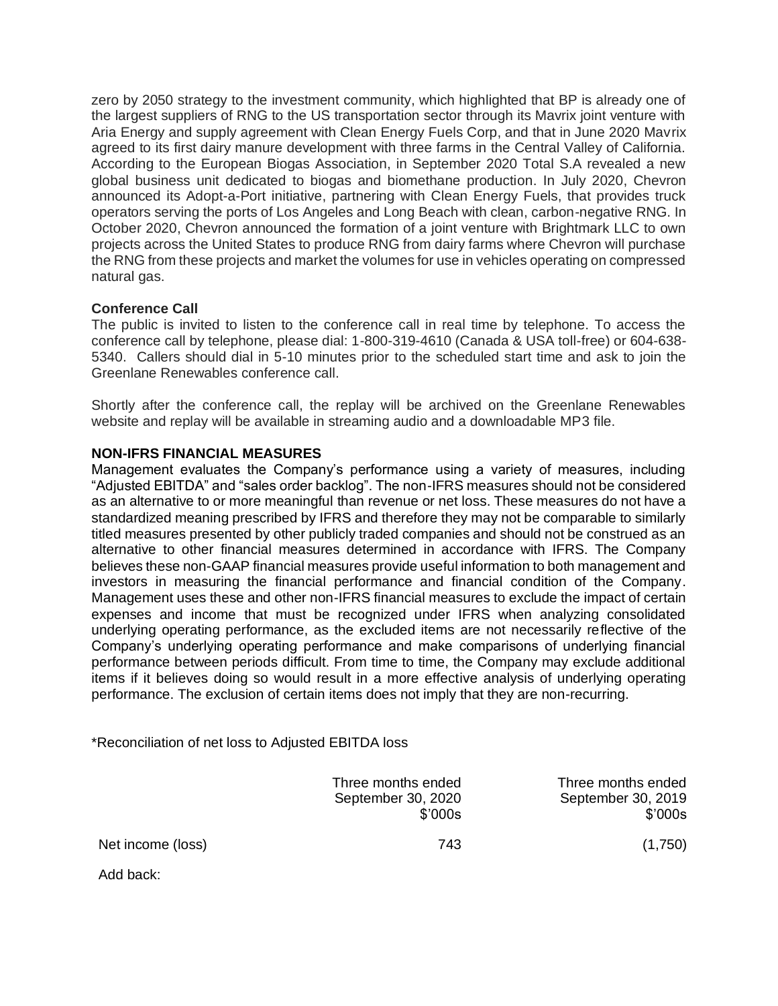zero by 2050 strategy to the investment community, which highlighted that BP is already one of the largest suppliers of RNG to the US transportation sector through its Mavrix joint venture with Aria Energy and supply agreement with Clean Energy Fuels Corp, and that in June 2020 Mavrix agreed to its first dairy manure development with three farms in the Central Valley of California. According to the European Biogas Association, in September 2020 Total S.A revealed a new global business unit dedicated to biogas and biomethane production. In July 2020, Chevron announced its Adopt-a-Port initiative, partnering with Clean Energy Fuels, that provides truck operators serving the ports of Los Angeles and Long Beach with clean, carbon-negative RNG. In October 2020, Chevron announced the formation of a joint venture with Brightmark LLC to own projects across the United States to produce RNG from dairy farms where Chevron will purchase the RNG from these projects and market the volumes for use in vehicles operating on compressed natural gas.

## **Conference Call**

The public is invited to listen to the conference call in real time by telephone. To access the conference call by telephone, please dial: 1-800-319-4610 (Canada & USA toll-free) or 604-638- 5340. Callers should dial in 5-10 minutes prior to the scheduled start time and ask to join the Greenlane Renewables conference call.

Shortly after the conference call, the replay will be archived on the Greenlane Renewables website and replay will be available in streaming audio and a downloadable MP3 file.

## **NON-IFRS FINANCIAL MEASURES**

Management evaluates the Company's performance using a variety of measures, including "Adjusted EBITDA" and "sales order backlog". The non-IFRS measures should not be considered as an alternative to or more meaningful than revenue or net loss. These measures do not have a standardized meaning prescribed by IFRS and therefore they may not be comparable to similarly titled measures presented by other publicly traded companies and should not be construed as an alternative to other financial measures determined in accordance with IFRS. The Company believes these non-GAAP financial measures provide useful information to both management and investors in measuring the financial performance and financial condition of the Company. Management uses these and other non-IFRS financial measures to exclude the impact of certain expenses and income that must be recognized under IFRS when analyzing consolidated underlying operating performance, as the excluded items are not necessarily reflective of the Company's underlying operating performance and make comparisons of underlying financial performance between periods difficult. From time to time, the Company may exclude additional items if it believes doing so would result in a more effective analysis of underlying operating performance. The exclusion of certain items does not imply that they are non-recurring.

\*Reconciliation of net loss to Adjusted EBITDA loss

|                   | Three months ended<br>September 30, 2020<br>\$'000s | Three months ended<br>September 30, 2019<br>\$'000s |
|-------------------|-----------------------------------------------------|-----------------------------------------------------|
| Net income (loss) | 743                                                 | (1,750)                                             |
| Add back:         |                                                     |                                                     |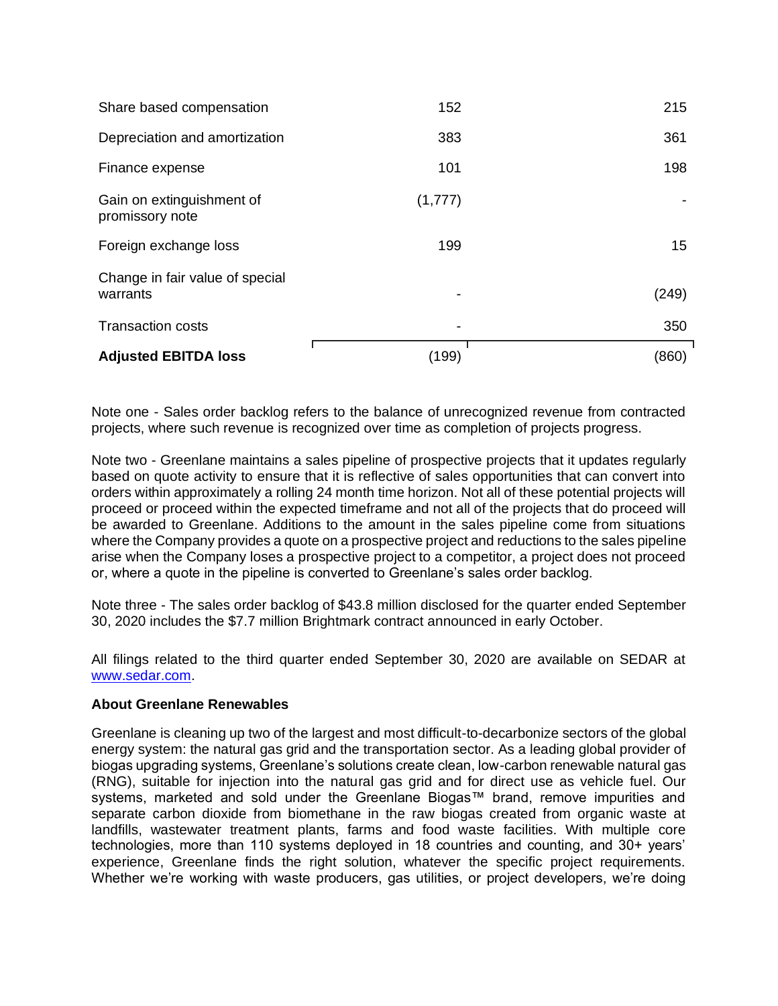| <b>Adjusted EBITDA loss</b>                  | (199)   | (860) |
|----------------------------------------------|---------|-------|
| <b>Transaction costs</b>                     |         | 350   |
| Change in fair value of special<br>warrants  |         | (249) |
| Foreign exchange loss                        | 199     | 15    |
| Gain on extinguishment of<br>promissory note | (1,777) |       |
| Finance expense                              | 101     | 198   |
| Depreciation and amortization                | 383     | 361   |
| Share based compensation                     | 152     | 215   |

Note one - Sales order backlog refers to the balance of unrecognized revenue from contracted projects, where such revenue is recognized over time as completion of projects progress.

Note two - Greenlane maintains a sales pipeline of prospective projects that it updates regularly based on quote activity to ensure that it is reflective of sales opportunities that can convert into orders within approximately a rolling 24 month time horizon. Not all of these potential projects will proceed or proceed within the expected timeframe and not all of the projects that do proceed will be awarded to Greenlane. Additions to the amount in the sales pipeline come from situations where the Company provides a quote on a prospective project and reductions to the sales pipeline arise when the Company loses a prospective project to a competitor, a project does not proceed or, where a quote in the pipeline is converted to Greenlane's sales order backlog.

Note three - The sales order backlog of \$43.8 million disclosed for the quarter ended September 30, 2020 includes the \$7.7 million Brightmark contract announced in early October.

All filings related to the third quarter ended September 30, 2020 are available on SEDAR at [www.sedar.com.](http://www.sedar.com/)

#### **About Greenlane Renewables**

Greenlane is cleaning up two of the largest and most difficult-to-decarbonize sectors of the global energy system: the natural gas grid and the transportation sector. As a leading global provider of biogas upgrading systems, Greenlane's solutions create clean, low-carbon renewable natural gas (RNG), suitable for injection into the natural gas grid and for direct use as vehicle fuel. Our systems, marketed and sold under the Greenlane Biogas™ brand, remove impurities and separate carbon dioxide from biomethane in the raw biogas created from organic waste at landfills, wastewater treatment plants, farms and food waste facilities. With multiple core technologies, more than 110 systems deployed in 18 countries and counting, and 30+ years' experience, Greenlane finds the right solution, whatever the specific project requirements. Whether we're working with waste producers, gas utilities, or project developers, we're doing